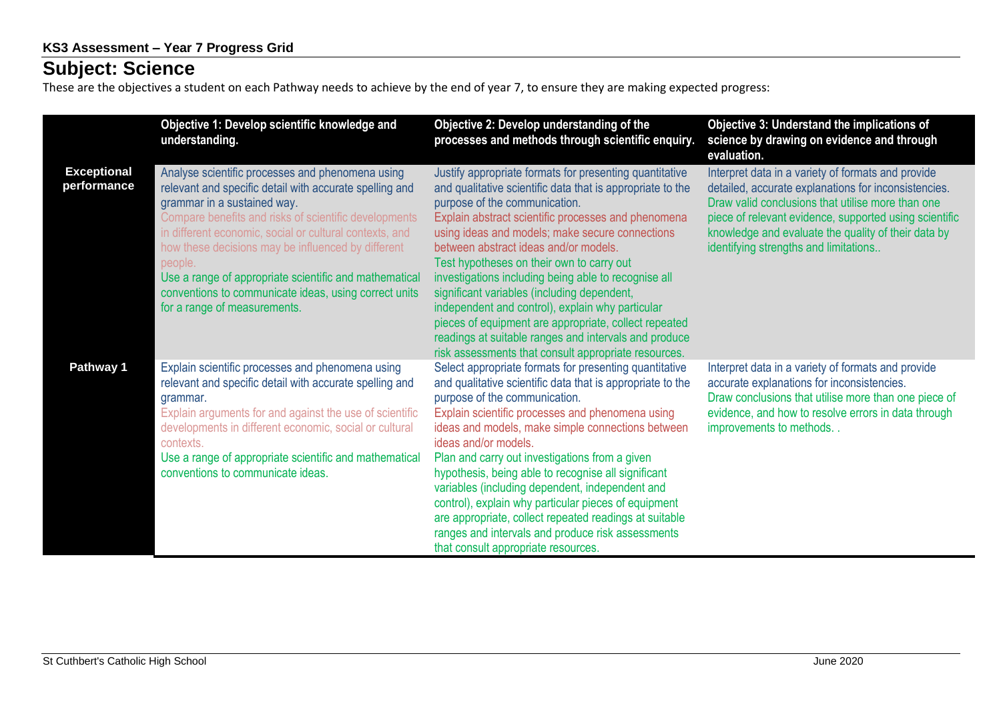## **Subject: Science**

These are the objectives a student on each Pathway needs to achieve by the end of year 7, to ensure they are making expected progress:

|                                   | Objective 1: Develop scientific knowledge and<br>understanding.                                                                                                                                                                                                                                                                                                                                                                                                                    | Objective 2: Develop understanding of the<br>processes and methods through scientific enquiry.                                                                                                                                                                                                                                                                                                                                                                                                                                                                                                                                                                                              | Objective 3: Understand the implications of<br>science by drawing on evidence and through<br>evaluation.                                                                                                                                                                                                                  |
|-----------------------------------|------------------------------------------------------------------------------------------------------------------------------------------------------------------------------------------------------------------------------------------------------------------------------------------------------------------------------------------------------------------------------------------------------------------------------------------------------------------------------------|---------------------------------------------------------------------------------------------------------------------------------------------------------------------------------------------------------------------------------------------------------------------------------------------------------------------------------------------------------------------------------------------------------------------------------------------------------------------------------------------------------------------------------------------------------------------------------------------------------------------------------------------------------------------------------------------|---------------------------------------------------------------------------------------------------------------------------------------------------------------------------------------------------------------------------------------------------------------------------------------------------------------------------|
| <b>Exceptional</b><br>performance | Analyse scientific processes and phenomena using<br>relevant and specific detail with accurate spelling and<br>grammar in a sustained way.<br>Compare benefits and risks of scientific developments<br>in different economic, social or cultural contexts, and<br>how these decisions may be influenced by different<br>people.<br>Use a range of appropriate scientific and mathematical<br>conventions to communicate ideas, using correct units<br>for a range of measurements. | Justify appropriate formats for presenting quantitative<br>and qualitative scientific data that is appropriate to the<br>purpose of the communication.<br>Explain abstract scientific processes and phenomena<br>using ideas and models; make secure connections<br>between abstract ideas and/or models.<br>Test hypotheses on their own to carry out<br>investigations including being able to recognise all<br>significant variables (including dependent,<br>independent and control), explain why particular<br>pieces of equipment are appropriate, collect repeated<br>readings at suitable ranges and intervals and produce<br>risk assessments that consult appropriate resources. | Interpret data in a variety of formats and provide<br>detailed, accurate explanations for inconsistencies.<br>Draw valid conclusions that utilise more than one<br>piece of relevant evidence, supported using scientific<br>knowledge and evaluate the quality of their data by<br>identifying strengths and limitations |
| Pathway 1                         | Explain scientific processes and phenomena using<br>relevant and specific detail with accurate spelling and<br>grammar.<br>Explain arguments for and against the use of scientific<br>developments in different economic, social or cultural<br>contexts.<br>Use a range of appropriate scientific and mathematical<br>conventions to communicate ideas.                                                                                                                           | Select appropriate formats for presenting quantitative<br>and qualitative scientific data that is appropriate to the<br>purpose of the communication.<br>Explain scientific processes and phenomena using<br>ideas and models, make simple connections between<br>ideas and/or models.<br>Plan and carry out investigations from a given<br>hypothesis, being able to recognise all significant<br>variables (including dependent, independent and<br>control), explain why particular pieces of equipment<br>are appropriate, collect repeated readings at suitable<br>ranges and intervals and produce risk assessments<br>that consult appropriate resources.                            | Interpret data in a variety of formats and provide<br>accurate explanations for inconsistencies.<br>Draw conclusions that utilise more than one piece of<br>evidence, and how to resolve errors in data through<br>improvements to methods                                                                                |